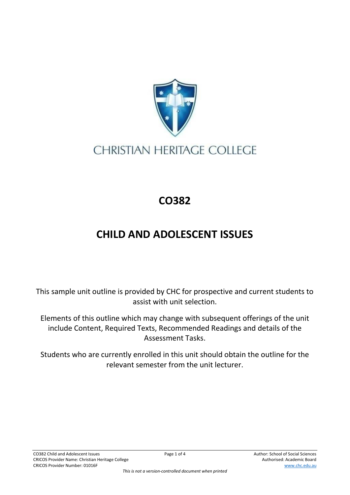

## **CHRISTIAN HERITAGE COLLEGE**

## **CO382**

## **CHILD AND ADOLESCENT ISSUES**

This sample unit outline is provided by CHC for prospective and current students to assist with unit selection.

Elements of this outline which may change with subsequent offerings of the unit include Content, Required Texts, Recommended Readings and details of the Assessment Tasks.

Students who are currently enrolled in this unit should obtain the outline for the relevant semester from the unit lecturer.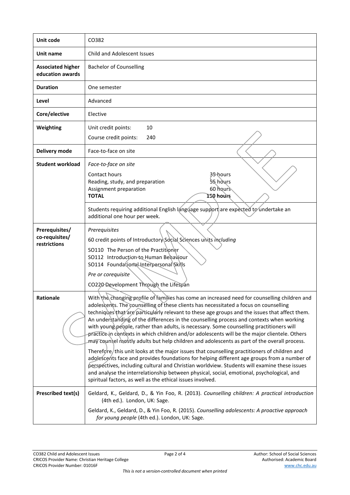| Unit code                                        | CO382                                                                                                                                                                                                                                                                                                                                                                                                                                                                                                                                                                                                                                                                                                                                                                                                                                                                                                                                                                                                                                                                                                                                       |
|--------------------------------------------------|---------------------------------------------------------------------------------------------------------------------------------------------------------------------------------------------------------------------------------------------------------------------------------------------------------------------------------------------------------------------------------------------------------------------------------------------------------------------------------------------------------------------------------------------------------------------------------------------------------------------------------------------------------------------------------------------------------------------------------------------------------------------------------------------------------------------------------------------------------------------------------------------------------------------------------------------------------------------------------------------------------------------------------------------------------------------------------------------------------------------------------------------|
| Unit name                                        | <b>Child and Adolescent Issues</b>                                                                                                                                                                                                                                                                                                                                                                                                                                                                                                                                                                                                                                                                                                                                                                                                                                                                                                                                                                                                                                                                                                          |
| <b>Associated higher</b><br>education awards     | <b>Bachelor of Counselling</b>                                                                                                                                                                                                                                                                                                                                                                                                                                                                                                                                                                                                                                                                                                                                                                                                                                                                                                                                                                                                                                                                                                              |
| <b>Duration</b>                                  | One semester                                                                                                                                                                                                                                                                                                                                                                                                                                                                                                                                                                                                                                                                                                                                                                                                                                                                                                                                                                                                                                                                                                                                |
| Level                                            | Advanced                                                                                                                                                                                                                                                                                                                                                                                                                                                                                                                                                                                                                                                                                                                                                                                                                                                                                                                                                                                                                                                                                                                                    |
| Core/elective                                    | Elective                                                                                                                                                                                                                                                                                                                                                                                                                                                                                                                                                                                                                                                                                                                                                                                                                                                                                                                                                                                                                                                                                                                                    |
| Weighting                                        | 10<br>Unit credit points:<br>Course credit points:<br>240                                                                                                                                                                                                                                                                                                                                                                                                                                                                                                                                                                                                                                                                                                                                                                                                                                                                                                                                                                                                                                                                                   |
| Delivery mode                                    | Face-to-face on site                                                                                                                                                                                                                                                                                                                                                                                                                                                                                                                                                                                                                                                                                                                                                                                                                                                                                                                                                                                                                                                                                                                        |
| <b>Student workload</b>                          | Face-to-face on site<br>Contact hours<br>35 hours<br>55 hours<br>Reading, study, and preparation<br>60 hours<br>Assignment preparation<br><b>TOTAL</b><br>ISO hours                                                                                                                                                                                                                                                                                                                                                                                                                                                                                                                                                                                                                                                                                                                                                                                                                                                                                                                                                                         |
|                                                  | Students requiring additional English language support are expected to undertake an<br>additional one hour per week.                                                                                                                                                                                                                                                                                                                                                                                                                                                                                                                                                                                                                                                                                                                                                                                                                                                                                                                                                                                                                        |
| Prerequisites/<br>co-requisites/<br>restrictions | Prerequisites<br>60 credit points of Introductory Social Sciences units including<br>SO110 The Person of the Practitioner<br>SO112 Introduction to Human Behaviour<br>SO114 Foundational Interpersonal Skills<br>Pre or corequisite<br>CO220 Development Through the Lifespan                                                                                                                                                                                                                                                                                                                                                                                                                                                                                                                                                                                                                                                                                                                                                                                                                                                               |
| Rationale                                        | With the changing profile of families has come an increased need for counselling children and<br>adolescents. The counselling of these clients has necessitated a focus on counselling<br>techniques that are particularly relevant to these age groups and the issues that affect them.<br>An understanding of the differences in the counselling process and contexts when working<br>with young\pe\pple, rather than adults, is necessary. Some counselling practitioners will<br>practice in contexts in which children and/or adolescents will be the major clientele. Others<br>may counsel mostly adults but help children and adolescents as part of the overall process.<br>Therefore/this unit looks at the major issues that counselling practitioners of children and<br>adolescents face and provides foundations for helping different age groups from a number of<br>perspectives, including cultural and Christian worldview. Students will examine these issues<br>and analyse the interrelationship between physical, social, emotional, psychological, and<br>spiritual factors, as well as the ethical issues involved. |
| <b>Prescribed text(s)</b>                        | Geldard, K., Geldard, D., & Yin Foo, R. (2013). Counselling children: A practical introduction<br>(4th ed.). London, UK: Sage.<br>Geldard, K., Geldard, D., & Yin Foo, R. (2015). Counselling adolescents: A proactive approach<br>for young people (4th ed.). London, UK: Sage.                                                                                                                                                                                                                                                                                                                                                                                                                                                                                                                                                                                                                                                                                                                                                                                                                                                            |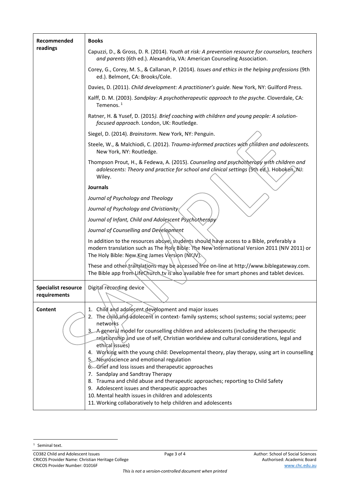| Recommended                                | <b>Books</b>                                                                                                                                                                                                                                                                                                                                                                                                                                                                                                                                                                                                                                                                                                                                                                                                                                                                 |
|--------------------------------------------|------------------------------------------------------------------------------------------------------------------------------------------------------------------------------------------------------------------------------------------------------------------------------------------------------------------------------------------------------------------------------------------------------------------------------------------------------------------------------------------------------------------------------------------------------------------------------------------------------------------------------------------------------------------------------------------------------------------------------------------------------------------------------------------------------------------------------------------------------------------------------|
| readings                                   | Capuzzi, D., & Gross, D. R. (2014). Youth at risk: A prevention resource for counselors, teachers<br>and parents (6th ed.). Alexandria, VA: American Counseling Association.                                                                                                                                                                                                                                                                                                                                                                                                                                                                                                                                                                                                                                                                                                 |
|                                            | Corey, G., Corey, M. S., & Callanan, P. (2014). Issues and ethics in the helping professions (9th<br>ed.). Belmont, CA: Brooks/Cole.                                                                                                                                                                                                                                                                                                                                                                                                                                                                                                                                                                                                                                                                                                                                         |
|                                            | Davies, D. (2011). Child development: A practitioner's guide. New York, NY: Guilford Press.                                                                                                                                                                                                                                                                                                                                                                                                                                                                                                                                                                                                                                                                                                                                                                                  |
|                                            | Kalff, D. M. (2003). Sandplay: A psychotherapeutic approach to the psyche. Cloverdale, CA:<br>Temenos. <sup>1</sup>                                                                                                                                                                                                                                                                                                                                                                                                                                                                                                                                                                                                                                                                                                                                                          |
|                                            | Ratner, H. & Yusef, D. (2015). Brief coaching with children and young people: A solution-<br>focused approach. London, UK: Routledge.                                                                                                                                                                                                                                                                                                                                                                                                                                                                                                                                                                                                                                                                                                                                        |
|                                            | Siegel, D. (2014). Brainstorm. New York, NY: Penguin.                                                                                                                                                                                                                                                                                                                                                                                                                                                                                                                                                                                                                                                                                                                                                                                                                        |
|                                            | Steele, W., & Malchiodi, C. (2012). Trauma-informed practices with children and adolescents.<br>New York, NY: Routledge.                                                                                                                                                                                                                                                                                                                                                                                                                                                                                                                                                                                                                                                                                                                                                     |
|                                            | Thompson Prout, H., & Fedewa, A. (2015). Counseling and psychotherapy with children and<br>adolescents: Theory and practice for school and clinical settings (Sth ed.). Hoboken, NJ:<br>Wiley.                                                                                                                                                                                                                                                                                                                                                                                                                                                                                                                                                                                                                                                                               |
|                                            | <b>Journals</b>                                                                                                                                                                                                                                                                                                                                                                                                                                                                                                                                                                                                                                                                                                                                                                                                                                                              |
|                                            | Journal of Psychology and Theology                                                                                                                                                                                                                                                                                                                                                                                                                                                                                                                                                                                                                                                                                                                                                                                                                                           |
|                                            | Journal of Psychology and Christianity                                                                                                                                                                                                                                                                                                                                                                                                                                                                                                                                                                                                                                                                                                                                                                                                                                       |
|                                            | Journal of Infant, Child and Adolescent Psychotherapy                                                                                                                                                                                                                                                                                                                                                                                                                                                                                                                                                                                                                                                                                                                                                                                                                        |
|                                            | Journal of Counselling and Development                                                                                                                                                                                                                                                                                                                                                                                                                                                                                                                                                                                                                                                                                                                                                                                                                                       |
|                                            | In addition to the resources above) students should have access to a Bible, preferably a<br>modern translation such as The Holy Bible: The New International Version 2011 (NIV 2011) or<br>The Holy Bible: New King James Version (NKJV).                                                                                                                                                                                                                                                                                                                                                                                                                                                                                                                                                                                                                                    |
|                                            | These and other translations may be accessed free on-line at http://www.biblegateway.com.<br>The Bible app from Life Church tv is also available free for smart phones and tablet devices.                                                                                                                                                                                                                                                                                                                                                                                                                                                                                                                                                                                                                                                                                   |
| <b>Specialist resource</b><br>requirements | Digital recording device                                                                                                                                                                                                                                                                                                                                                                                                                                                                                                                                                                                                                                                                                                                                                                                                                                                     |
| <b>Content</b>                             | 1. Child and addlecent development and major issues<br>2. The child and adolecent in context-family systems; school systems; social systems; peer<br>networks<br>3. A general model for counselling children and adolescents (including the therapeutic<br>relationship and use of self, Christian worldview and cultural considerations, legal and<br>ethical issues)<br>4. Working with the young child: Developmental theory, play therapy, using art in counselling<br>5. Neuroscience and emotional regulation<br>6. Grief and loss issues and therapeutic approaches<br>7. Sandplay and Sandtray Therapy<br>8. Trauma and child abuse and therapeutic approaches; reporting to Child Safety<br>9. Adolescent issues and therapeutic approaches<br>10. Mental health issues in children and adolescents<br>11. Working collaboratively to help children and adolescents |

<sup>&</sup>lt;sup>1</sup> Seminal text.